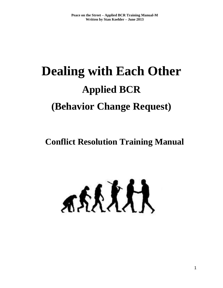# **Dealing with Each Other Applied BCR (Behavior Change Request)**

# **Conflict Resolution Training Manual**

ARRARA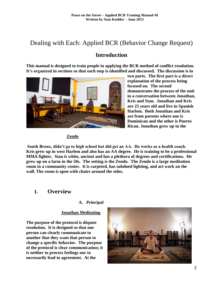# Dealing with Each: Applied BCR (Behavior Change Request)

# **Introduction**

**This manual is designed to train people in applying the BCR method of conflict resolution. It's organized in sections so that each step is identified and discussed. The discussion is in** 



**two parts. The first part is a direct explanation of the process being focused on. The second demonstrates the process of the unit in a conversation between Jonathan, Kris and Stan. Jonathan and Kris are 25 years old and live in Spanish Harlem. Both Jonathan and Kris are from parents where one is Dominican and the other is Puerto Rican. Jonathan grew up in the**

# **Zendo**

**South Bronx, didn't go to high school but did get an AA. He works as a health coach. Kris grew up in west Harlem and also has an AA degree. He is training to be a professional MMA fighter. Stan is white, ancient and has a plethora of degrees and certifications. He grew up on a farm in the 50s. The setting is the Zendo. The Zendo is a large meditation room in a community center. It is carpeted, has subdued lighting, and art work on the wall. The room is open with chairs around the sides.**

# **I. Overview**

# **A. Principal**

#### **Jonathan Meditating**

**The purpose of the protocol is dispute resolution. It is designed so that one person can clearly communicate to another that they want that person to change a specific behavior. The purpose of the protocol is clear communication; it is neither to process feelings nor to necessarily lead to agreement. At the**

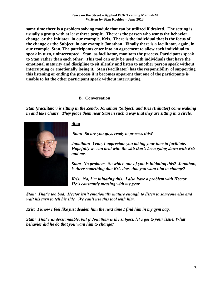**same time there is a problem solving module that can be utilized if desired. The setting is usually a group with at least three people. There is the person who wants the behavior change, or the Initiator, in our example, Kris. There is the individual that is the focus of the change or the Subject, in our example Jonathan. Finally there is a facilitator, again, in our example, Stan. The participants enter into an agreement to allow each individual to speak in turn, uninterrupted. Stan, as facilitator, monitors the process. Participates speak to Stan rather than each other. This tool can only be used with individuals that have the emotional maturity and discipline to sit silently and listen to another person speak without interrupting or emotionally losing it. Stan (Facilitator) has the responsibility of supporting this listening or ending the process if it becomes apparent that one of the participants is unable to let the other participant speak without interrupting.**

# **B. Conversation**

*Stan (Facilitator) is sitting in the Zendo, Jonathan (Subject) and Kris (Initiator) come walking in and take chairs. They place them near Stan in such a way that they are sitting in a circle.* 



# **Stan**

*Stan: So are you guys ready to process this?*

*Jonathan: Yeah, I appreciate you taking your time to facilitate. Hopefully we can deal with the shit that's been going down with Kris and me.*

*Stan: No problem. So which one of you is initiating this? Jonathan, is there something that Kris does that you want him to change?*

*Kris: No, I'm initiating this. I also have a problem with Hector. He's constantly messing with my gear.*

*Stan: That's too bad. Hector isn't emotionally mature enough to listen to someone else and wait his turn to tell his side. We can't use this tool with him.*

*Kris: I know I feel like just deaden him the next time I find him in my gym bag.* 

*Stan: That's understandable, but if Jonathan is the subject, let's get to your issue. What behavior did he do that you want him to change?*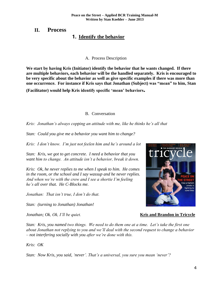# **II. Process 1. Identify the behavior**

#### A. Process Description

**We start by having Kris (Initiator) identify the behavior that he wants changed. If there are multiple behaviors, each behavior will be the handled separately. Kris is encouraged to be very specific about the behavior as well as give specific examples if there was more than one occurrence. For instance if Kris says that Jonathan (Subject) was "mean" to him, Stan**

**(Facilitator) would help Kris identify specific 'mean' behaviors.**

#### B. Conversation

*Kris: Jonathan's always copping an attitude with me, like he thinks he's all that* 

*Stan: Could you give me a behavior you want him to change?*

*Kris: I don't know. I'm just not feelen him and he's around a lot*

*Stan: Kris, we got to get concrete. I need a behavior that you want him to change. An attitude isn't a behavior, break it down.*

*Kris: Ok, he never replies to me when I speak to him. He comes in the room, or the school and I say wassup and he never replies. And when we're with the crew and I see a shortie I'm feeling he's all over that. He C-Blocks me.*

*Jonathan: That isn't true, I don't do that.*

*Stan: (turning to Jonathan) Jonathan!*



*Jonathan; Ok, Ok, I'll be quiet.* **Kris and Brandon in Tricycle** 

*Stan: Kris, you named two things. We need to do them one at a time. Let's take the first one about Jonathan not replying to you and we'll deal with the second request to change a behavior – not interfering socially with you after we're done with this.*

*Kris: OK* 

*Stan: Now Kris, you said, 'never'. That's a universal, you sure you mean 'never'?*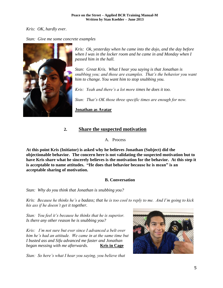# *Kris: OK, hardly ever.*

# *Stan: Give me some concrete examples*



*Kris: Ok, yesterday when he came into the dojo, and the day before when I was in the locker room and he came in and Monday when I passed him in the hall.*

*Stan: Great Kris. What I hear you saying is that Jonathan is snubbing you; and those are examples. That's the behavior you want him to change. You want him to stop snubbing you.*

*Kris: Yeah and there's a lot more times he does it too.*

*Stan: That's OK those three specific times are enough for now.*

**Jonathan as Avatar**

# **2. Share the suspected motivation**

A. Process

**At this point Kris (Initiator) is asked why he believes Jonathan (Subject) did the objectionable behavior. The concern here is not validating the suspected motivation but to have Kris share what he sincerely believes is the motivation for the behavior. At this step it is acceptable to name attitudes. "He does that behavior because he is mean" is an acceptable sharing of motivation.**

# **B. Conversation**

*Stan: Why do you think that Jonathan is snubbing you?*

*Kris: Because he thinks he's a badass; that he is too cool to reply to me. And I'm going to kick his ass if he doesn't get it together.*

*Stan: You feel it's because he thinks that he is superior. Is there any other reason he is snubbing you?*

*Kris: I'm not sure but ever since I advanced a belt over him he's had an attitude. We came in at the same time but I busted ass and Sifu advanced me faster and Jonathan began messing with me afterwards.* **Kris in Cage** 

*Stan: So here's what I hear you saying, you believe that* 

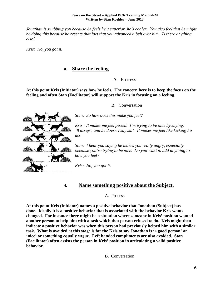*Jonathan is snubbing you because he feels he's superior, he's cooler. You also feel that he might be doing this because he resents that fact that you advanced a belt over him. Is there anything else?*

*Kris: No, you got it.*

# **a. Share the feeling**

# A. Process

**At this point Kris (Initiator) says how he feels. The concern here is to keep the focus on the feeling and often Stan (Facilitator) will support the Kris in focusing on a feeling.**

B. Conversation

*Stan: So how does this make you feel?*

*Kris: It makes me feel pissed. I'm trying to be nice by saying, 'Wassup', and he doesn't say shit. It makes me feel like kicking his ass.*

*Stan: I hear you saying he makes you really angry, especially because you're trying to be nice. Do you want to add anything to how you feel?*

*Kris: No, you got it.*

# **4. Name something positive about the Subject.**

A. Process

**At this point Kris (Initiator) names a positive behavior that Jonathan (Subject) has done. Ideally it is a positive behavior that is associated with the behavior Kris wants changed. For instance there might be a situation where someone in Kris' position wanted another person to help him with a task which that person refused to do. Kris might then indicate a positive behavior was when this person had previously helped him with a similar task. What is avoided at this stage is for the Kris to say Jonathan is 'a good person' or 'nice' or something equally vague. Left handed compliments are also avoided. Stan (Facilitator) often assists the person in Kris' position in articulating a valid positive behavior.**

B. Conversation

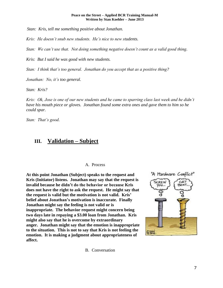*Stan: Kris, tell me something positive about Jonathan.*

*Kris: He doesn't snub new students. He's nice to new students.*

*Stan: We can't use that. Not doing something negative doesn't count as a valid good thing.*

*Kris: But I said he was good with new students.*

*Stan: I think that's too general. Jonathan do you accept that as a positive thing?*

*Jonathan: No, it's too general.*

*Stan: Kris?*

*Kris: Ok, Jose is one of our new students and he came to sparring class last week and he didn't have his mouth piece or gloves. Jonathan found some extra ones and gave them to him so he could spar.*

*Stan: That's good.*

# **III. Validation – Subject**

#### A. Process

**At this point Jonathan (Subject) speaks to the request and Kris (Initiator) listens. Jonathan may say that the request is invalid because he didn't do the behavior or because Kris does not have the right to ask the request. He might say that the request is valid but the motivation is not valid. Kris' belief about Jonathan's motivation is inaccurate. Finally Jonathan might say the feeling is not valid or is inappropriate. The behavior request might concern being two days late in repaying a \$3.00 loan from Jonathan. Kris might also say that he is overcome by extraordinary anger. Jonathan might say that the emotion is inappropriate to the situation. This is not to say that Kris is not feeling the emotion. It is making a judgment about appropriateness of affect.**



B. Conversation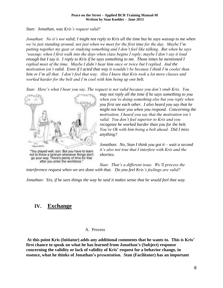*Stan: Jonathan, was Kris's request valid?*

*Jonathan: No it's not valid; I might not reply to Kris all the time but he says wassup to me when we're just standing around, not just when we meet for the first time for the day. Maybe I'm putting together my gear or studying something and I don't feel like talking. But when he says 'wassup; when I first walk into the dojo when class begins I reply; maybe I don't say it loud enough but I say it. I reply to Kris if he says something to me. Those times he mentioned I replied most of the time. Maybe I didn't hear him once or twice but I replied. And the motivation isn't valid. Even if I acted that way it wouldn't be because I think I'm cooler than him or I'm all that. I don't feel that way. Also I know that Kris took a lot more classes and worked harder for the belt and I'm cool with him being up one belt.*

*Stan: Here's what I hear you say. The request is not valid because you don't snub Kris. You* 



"You played well, son. But you have to learn not to throw a tantrum whenever things don't go your way. There's plenty of time for that after you enter the workforce.'

*may not reply all the time if he says something to you when you're doing something else but you reply when you first see each other. I also heard you say that he might not hear you when you respond. Concerning the motivation, I heard you say that the motivation isn't valid. You don't feel superior to Kris and you recognize he worked harder than you for the belt. You're Ok with him being a belt ahead. Did I miss anything?*

*Jonathan: No, Stan I think you got it – wait a second it's also not true that I interfere with Kris and the shorties.*

*Stan: That's a different issue. We'll process the interference request when we are done with that. Do you feel Kris's feelings are valid?*

*Jonathan: Yes, if he sees things the way he said it makes sense that he would feel that way.*

# **IV. Exchange**

A. Process

**At this point Kris (Initiator) adds any additional comments that he wants to. This is Kris' first chance to speak on what he has learned from Jonathan's (Subject) response concerning the validity or lack of validity of Kris' request for a behavior change, in essence, what he thinks of Jonathan's presentation. Stan (Facilitator) has an important**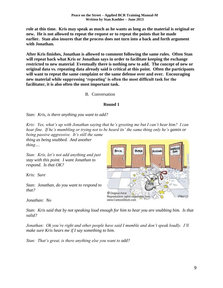**role at this time. Kris may speak as much as he wants as long as the material is original or new. He is not allowed to repeat the request or to repeat the points that he made earlier. Stan also insures that the process does not turn into a back and forth argument with Jonathan.** 

**After Kris finishes, Jonathan is allowed to comment following the same rules. Often Stan will repeat back what Kris or Jonathan says in order to facilitate keeping the exchange restricted to new material**. **Eventually there is nothing new to add. The concept of new or original data vs. repeating data already said is critical at this point. Often the participants will want to repeat the same complaint or the same defense over and over. Encouraging new material while suppressing 'repeating' is often the most difficult task for the facilitator, it is also often the most important task.**

B. Conversation

#### **Round 1**

*Stan: Kris, is there anything you want to add?*

*Kris: Yes, what's up with Jonathan saying that he's greeting me but I can't hear him? I can hear fine. If he's mumbling or trying not to be heard its' the same thing only he's gamin or being passive aggressive. It's still the same* 

*thing as being snubbed. And another thing….*

*Stan: Kris, let's not add anything and just stay with this point. I want Jonathan to respond. Is that OK?*

*Kris: Sure*

*Stan: Jonathan, do you want to respond to that?*

*Jonathan: No*

*Stan: Kris said that by not speaking loud enough for him to hear you are snubbing him. Is that valid?*

*Jonathan: Ok you're right and other people have said I mumble and don't speak loudly. I'll make sure Kris hears me if I say something to him.*

*Stan: That's great, is there anything else you want to add?*

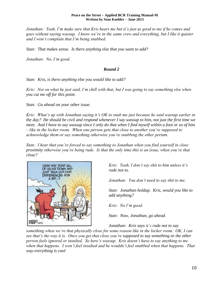*Jonathan: Yeah, I'm make sure that Kris hears me but it's just as good to me if he comes and goes without saying wassup. I know we're in the same crew and everything, but I like it quieter and I won't complain that I'm being snubbed.*

*Stan: That makes sense. Is there anything else that you want to add?*

*Jonathan: No, I'm good.*

# *Round 2*

*Stan: Kris, is there anything else you would like to add?*

*Kris: Not on what he just said, I'm chill with that, but I was going to say something else when you cut me off for this point.*

*Stan: Go ahead on your other issue.*

*Kris: What's up with Jonathan saying it's OK to snub me just because he said wassup earlier in the day? He should be civil and respond whenever I say wassup to him, not just the first time we meet. And I have to say wassup since I only do that when I find myself within a foot or so of him – like in the locker room. When one person gets that close to another you're supposed to acknowledge them or say something otherwise you're snubbing the other person.*

*Stan: I hear that you're forced to say something to Jonathan when you find yourself in close proximity otherwise you're being rude. Is that the only time this is an issue, when you're that close?*



*Kris: Yeah, I don't say shit to him unless it's rude not to.*

*Jonathan: You don't need to say shit to me.*

*Stan: Jonathan holdup. Kris, would you like to add anything?*

*Kris: No I'm good.*

*Stan: Now, Jonathan, go ahead.*

*Jonathan: Kris says it's rude not to say* 

*something when we're that physically close for some reason like in the locker room. OK, I can see that's the way it is. Once you get that close you're supposed to say something or the other person feels ignored or insulted. So here's wassup. Kris doesn't have to say anything to me when that happens. I won't feel insulted and he wouldn't feel snubbed when that happens. That way everything is cool*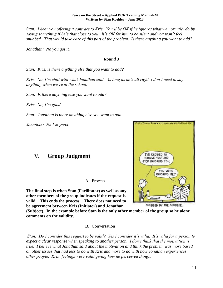*Stan: I hear you offering a contract to Kris. You'll be OK if he ignores what we normally do by saying something if he's that close to you. It's OK for him to be silent and you won't feel snubbed. That would take care of this part of the problem. Is there anything you want to add?*

*Jonathan: No you got it.*

#### *Round 3*

*Stan: Kris, is there anything else that you want to add?*

*Kris: No, I'm chill with what Jonathan said. As long as he's all right, I don't need to say anything when we're at the school.*

*Stan: Is there anything else you want to add?*

*Kris: No, I'm good.*

*Stan: Jonathan is there anything else you want to add.*

*Jonathan: No I'm good.*

# **V. Group Judgment**

A. Process

**The final step is when Stan (Facilitator) as well as any other members of the group indicates if the request is valid. This ends the process. There does not need to be agreement between Kris (Initiator) and Jonathan**

**(Subject). In the example before Stan is the only other member of the group so he alone comments on the validity.**

#### B. Conversation

*Stan: Do I consider this request to be valid? Yes I consider it's valid. It's valid for a person to expect a clear response when speaking to another person. I don't think that the motivation is true. I believe what Jonathan said about the motivation and think the problem was more based on other issues that had less to do with Kris and more to do with how Jonathan experiences other people. Kris' feelings were valid giving how he perceived things.*

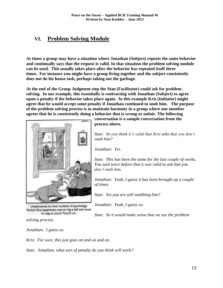# **VI. Problem Solving Module**

**At times a group may have a situation where Jonathan (Subject) repeats the same behavior and continually says that the request is valid. In that situation the problem solving module can be used. This usually takes place after the behavior has repeated itself three times. For instance you might have a group living together and the subject consistently does not do his house task, perhaps taking out the garbage.**

**At the end of the Group Judgment step the Stan (Facilitator) could ask for problem solving. In our example, this essentially is contracting with Jonathan (Subject) to agree upon a penalty if the behavior takes place again. In this example Kris (Initiator) might agree that he would accept some penalty if Jonathan continued to snub him. The purpose of the problem solving process is to maintain harmony in a group where one member agrees that he is consistently doing a behavior that is wrong or unfair. The following** 



Unbeknownst to most students of psychology, Pavlov's first experiment was to ring a bell and cause his dog to attack Freud's cat.

**conversation is a sample conversation from the process above.** 

*Stan: So you think it's valid that Kris asks that you don't snub him?*

*Jonathan: Yes*

*Stan: This has been the same for the last couple of weeks. You said twice before that it was valid to ask that you don't snub him.*

*Jonathan: Yeah, I guess it has been brought up a couple of times.*

*Stan: Yet you are still snubbing him?*

*Jonathan: Yeah, I guess so.*

*Stan: So it would make sense that we use the problem* 

*solving process.*

*Jonathan: I guess so.*

*Kris: For sure, this just goes on and on and on.*

*Stan: Jonathan, what sort of penalty do you think will work?*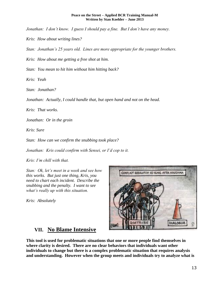*Jonathan: I don't know. I guess I should pay a fine. But I don't have any money.*

*Kris: How about writing lines?*

*Stan: Jonathan's 25 years old. Lines are more appropriate for the younger brothers.*

*Kris: How about me getting a free shot at him.*

*Stan: You mean to hit him without him hitting back?*

*Kris: Yeah*

*Stan: Jonathan?*

*Jonathan: Actually, I could handle that, but open hand and not on the head.*

*Kris: That works.*

*Jonathan: Or in the groin*

*Kris: Sure*

*Stan: How can we confirm the snubbing took place?*

*Jonathan: Kris could confirm with Sensei, or I'd cop to it.*

*Kris: I'm chill with that.*

*Stan: Ok, let's meet in a week and see how this works. But just one thing, Kris, you need to chart each incident. Describe the snubbing and the penalty. I want to see what's really up with this situation.*

*Kris: Absolutely*



# **VII. No Blame Intensive**

**This tool is used for problematic situations that one or more people find themselves in where clarity is desired. There are no clear behaviors that individuals want other individuals to change but there is a complex problematic situation that requires analysis and understanding. However when the group meets and individuals try to analyze what is**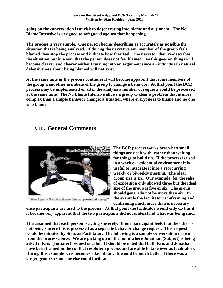**going on the conversation is at risk to degenerating into blame and argument. The No Blame Intensive is designed to safeguard against that happening.**

**The process is very simple. One person begins describing as accurately as possible the situation that is being analyzed. If during the narrative any member of the group feels blamed they stop the process and indicate how they feel. The narrator then re-describes the situation but in a way that the person does not feel blamed. As this goes on things will become clearer and clearer without turning into an argument since an individual's natural defensiveness about being blamed will not exist.**

**At the same time as the process continues it will become apparent that some members of the group want other members of the group to change a behavior. At that point the BCR process may be implemented or after the analysis a number of requests could be processed at the same time. The No Blame Intensive allows a group to clear a problem that is more complex than a simple behavior change; a situation where everyone is to blame and no one is to blame.** 

# **VIII. General Comments**



"Your logic is flaccid and your data suppositional, dawg!"

**The BCR process works best when small things are dealt with, rather than waiting for things to build up. If the process is used in a work or residential environment it is useful to integrate it into a reoccurring weekly or biweekly meeting. The ideal group size is six. Our example, for the sake of exposition only showed three but the ideal size of the group is five or six. The group should generally not be more than six. In the example the facilitator is reframing and confirming much more than is necessary** 

**once participants are used to the process. At that point the facilitator would only do this if it became very apparent that the two participants did not understand what was being said.**

**It is assumed that each person is acting sincerely. If one participant feels that the other is not being sincere this is processed as a separate behavior change request. This request would be initiated by Stan, as Facilitator. The following is a sample conversation drawn from the process above. We are picking up on the point where Jonathan (Subject) is being asked if Kris' (Initiator) request is valid. It should be noted that both Kris and Jonathan have been trained in the conflict resolution process and are able to take over as facilitators. During this example Kris becomes a facilitator. It would be much better if there was a larger group so someone else could facilitate.**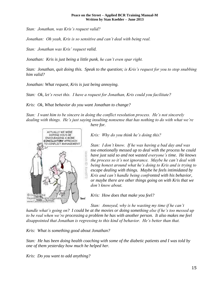*Stan: Jonathan, was Kris's request valid?*

*Jonathan: Oh yeah, Kris is so sensitive and can't deal with being real.*

*Stan: Jonathan was Kris' request valid.*

*Jonathan: Kris is just being a little punk, he can't even spar right.*

*Stan: Jonathan, quit doing this. Speak to the question; is Kris's request for you to stop snubbing him valid?*

*Jonathan: What request, Kris is just being annoying.*

*Stan: Ok, let's reset this. I have a request for Jonathan, Kris could you facilitate?*

*Kris: Ok, What behavior do you want Jonathan to change?*

*Stan: I want him to be sincere in doing the conflict resolution process. He's not sincerely dealing with things. He's just saying insulting nonsense that has nothing to do with what we're* 



*here for.*

*Kris: Why do you think he's doing this?*

*Stan: I don't know. If he was having a bad day and was too emotionally messed up to deal with the process he could have just said so and not wasted everyone's time. He knows the process so it's not ignorance. Maybe he can't deal with being honest around what he's doing to Kris and is trying to escape dealing with things. Maybe he feels intimidated by Kris and can't handle being confronted with his behavior, or maybe there are other things going on with Kris that we don't know about.*

*Kris: How does that make you feel?*

*Stan: Annoyed, why is he wasting my time if he can't handle what's going on? I could be at the movies or doing something else if he's too messed up to be real when we're processing a problem he has with another person. It also makes me feel disappointed that Jonathan is regressing to this kind of behavior. He's better than that.*

*Kris: What is something good about Jonathan?*

*Stan: He has been doing health coaching with some of the diabetic patients and I was told by one of them yesterday how much he helped her.*

*Kris: Do you want to add anything?*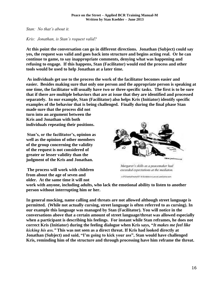*Stan: No that's about it.*

# *Kris: Jonathan, is Stan's request valid?*

**At this point the conversation can go in different directions. Jonathan (Subject) could say yes, the request was valid and goes back into structure and begins acting real. Or he can continue to game, to say inappropriate comments, denying what was happening and refusing to engage. If this happens, Stan (Facilitator) would end the process and other tools would be used to help Jonathan at a later time.**

**As individuals get use to the process the work of the facilitator becomes easier and easier. Besides making sure that only one person and the appropriate person is speaking at one time, the facilitator will usually have two or three specific tasks. The first is to be sure that if there are multiple behaviors that are at issue that they are identified and processed separately. In our example, Stan (Facilitator) also helps Kris (Initiator) identify specific examples of the behavior that is being challenged. Finally during the final phase Stan**

**made sure that the process did not turn into an argument between the Kris and Jonathan with both individuals repeating their positions.**

**Stan's, or the facilitator's, opinion as well as the opinion of other members of the group concerning the validity of the request is not considered of greater or lesser validity than the judgment of the Kris and Jonathan.**

**The process will work with children from about the age of seven and older. At the same time it will not** 



Margaret's skills as a peacemaker had exceeded expectations at the mediaton.

a 67CranksFinsher07.16 Scribble-in-Law at LawConnic com-

**work with anyone, including adults, who lack the emotional ability to listen to another person without interrupting him or her.** 

**In general mocking, name calling and threats are not allowed although street language is permitted. (While not actually cursing, street language is often referred to as cursing). In our example this language was managed by Stan (Facilitator). You will notice in the conversations above that a certain amount of street language/threat was allowed especially when a participant is describing his feelings. For instant while Stan reframes, he does not correct Kris (Initiator) during the feeling dialogue when Kris says, "***It makes me feel like kicking his ass."* **This was not seen as a direct threat. If Kris had looked directly at Jonathan (Subject) and said, "I'm going to kick your ass", Stan would have challenged Kris, reminding him of the structure and through processing have him reframe the threat.**